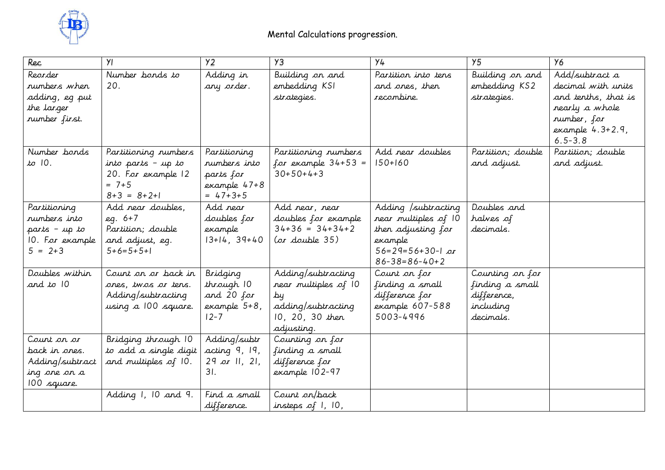

| Rec                                                                             | YI                                                                                             | Y <sub>2</sub>                                                              | Y3                                                                                                      | Y4                                                                                                                            | Y <sub>5</sub>                                                              | У6                                                                                                                                |
|---------------------------------------------------------------------------------|------------------------------------------------------------------------------------------------|-----------------------------------------------------------------------------|---------------------------------------------------------------------------------------------------------|-------------------------------------------------------------------------------------------------------------------------------|-----------------------------------------------------------------------------|-----------------------------------------------------------------------------------------------------------------------------------|
| Reorder<br>rumbers when<br>adding, eg put<br>the larger<br>rumber first.        | Number bonds to<br>20.                                                                         | Adding in<br>any arder.                                                     | Building on and<br>embedding KSI<br>strategies.                                                         | Partition into tens<br>and ones, then<br>recombine.                                                                           | Building on and<br>embedding KS2<br>strategies.                             | Add/subtract a<br>decimal with units<br>and tenths, that is<br>nearly a whole<br>number, for<br>$example$ 4.3+2.9,<br>$6.5 - 3.8$ |
| Number bonds<br>to 10.                                                          | Partitioning numbers<br>into parts - up to<br>20. For example 12<br>$= 7 + 5$<br>$8+3 = 8+2+1$ | Partitioning<br>rumbers into<br>parts for<br>example 47+8<br>$= 47 + 3 + 5$ | Partitioning numbers<br>for example $34+53 =$<br>$30+50+4+3$                                            | Add near doubles<br>$150+160$                                                                                                 | Partition; double<br>and adjust.                                            | Partition; double<br>and adjust.                                                                                                  |
| Partitioning<br>rumbers into<br>parts - up to<br>10. For example<br>$5 = 2 + 3$ | Add near doubles,<br>$eq. 6+7$<br>Partition; double<br>and adjust, eq.<br>$5+6=5+5+1$          | Add near<br>doubles for<br>example<br>$13+14, 39+40$                        | Add near, near<br>doubles for example<br>$34+36 = 34+34+2$<br>$(or$ double $35)$                        | Adding /subtracting<br>near multiples of 10<br>then adjusting for<br>example<br>$56=29=56+30-1$ or<br>$86 - 38 = 86 - 40 + 2$ | Doubles and<br>halves of<br>decimals.                                       |                                                                                                                                   |
| Doubles within<br>and to 10                                                     | Count on or back in<br>ones, twos or tens.<br>Adding/subtracting<br>using a 100 square.        | Bridging<br>through 10<br>and 20 for<br>example 5+8,<br>$12 - 7$            | Adding/subtracting<br>near multiples of 10<br>Ъų<br>adding/subtracting<br>10, 20, 30 then<br>adjusting. | Count on for<br>finding a small<br>difference for<br>example 607-588<br>5003-4996                                             | Counting on for<br>finding a small<br>difference,<br>including<br>decimals. |                                                                                                                                   |
| Count on or<br>back in ones.<br>Adding/subtract<br>ing one on a<br>100 square.  | Bridging through 10<br>to add a single digit<br>and multiples of 10.                           | Adding/subtr<br>acting 9, 19,<br>$29$ or 11, 21,<br>31.                     | Counting on for<br>finding a small<br>difference for<br>example 102-97                                  |                                                                                                                               |                                                                             |                                                                                                                                   |
|                                                                                 | Adding 1, 10 and 9.                                                                            | Find a small<br>difference.                                                 | Count on/back<br>insteps of $1, 10,$                                                                    |                                                                                                                               |                                                                             |                                                                                                                                   |